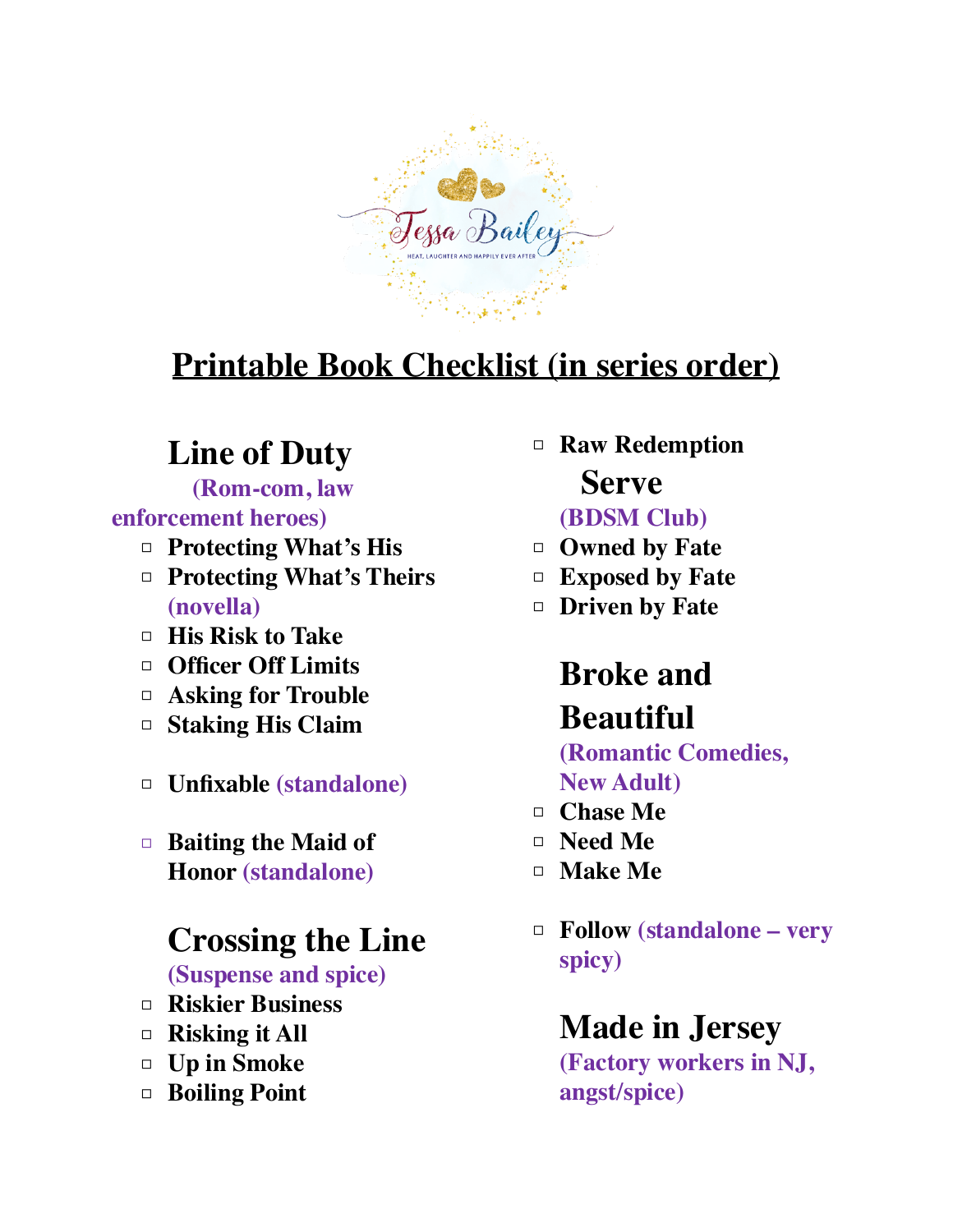

# **Printable Book Checklist (in series order)**

### **Line of Duty**

 **(Rom-com, law enforcement heroes)**

- □ **Protecting What's His**
- □ **Protecting What's Theirs (novella)**
- □ **His Risk to Take**
- □ **Officer Off Limits**
- □ **Asking for Trouble**
- □ **Staking His Claim**
- □ **Unfixable (standalone)**
- □ **Baiting the Maid of Honor (standalone)**

#### **Crossing the Line**

**(Suspense and spice)**

- □ **Riskier Business**
- □ **Risking it All**
- □ **Up in Smoke**
- □ **Boiling Point**

□ **Raw Redemption Serve**

#### **(BDSM Club)**

- □ **Owned by Fate**
- □ **Exposed by Fate**
- □ **Driven by Fate**

## **Broke and**

## **Beautiful**

#### **(Romantic Comedies, New Adult)**

- □ **Chase Me**
- □ **Need Me**
- □ **Make Me**
- □ **Follow (standalone very spicy)**

#### **Made in Jersey**

**(Factory workers in NJ, angst/spice)**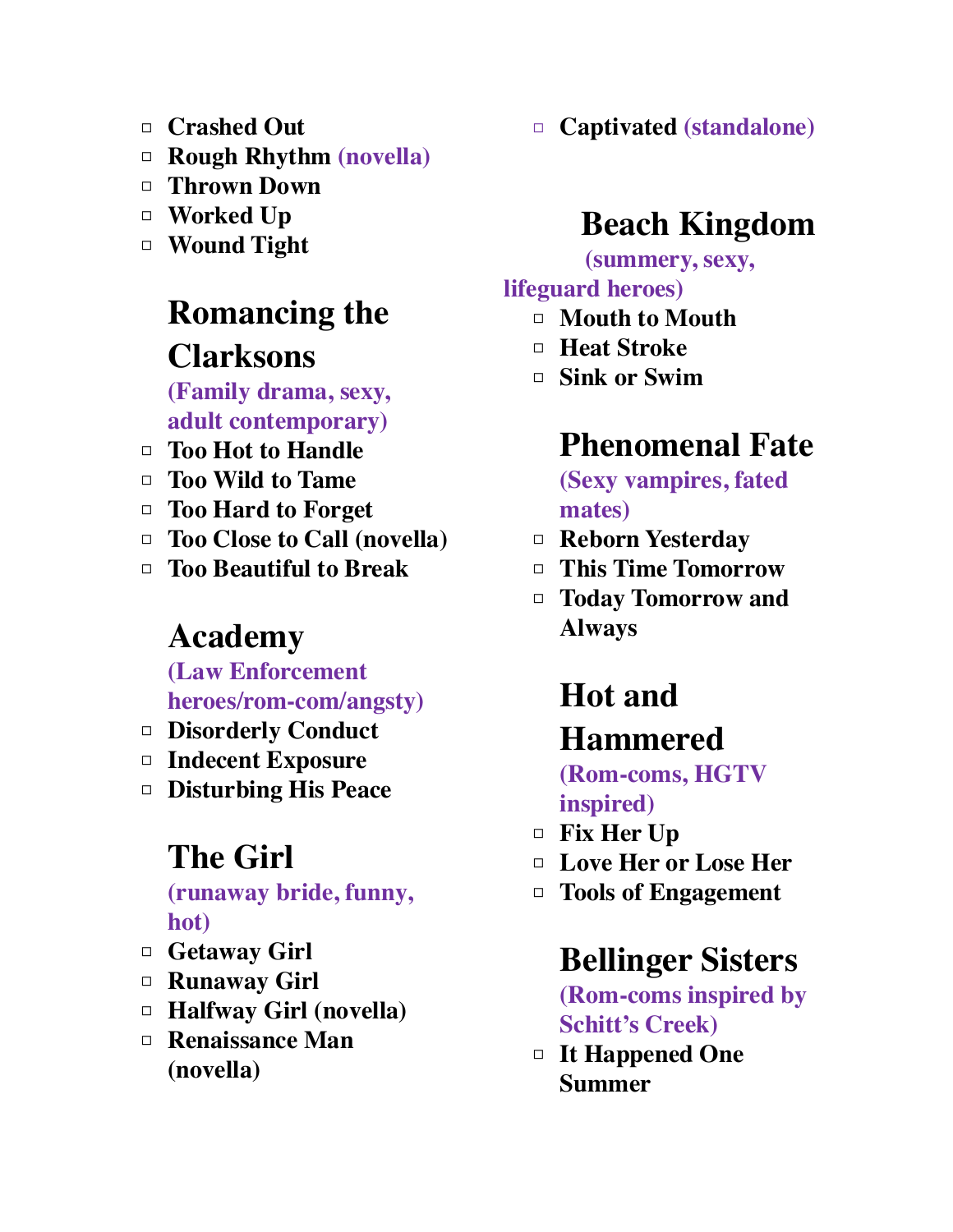- □ **Crashed Out**
- □ **Rough Rhythm (novella)**
- □ **Thrown Down**
- □ **Worked Up**
- □ **Wound Tight**

## **Romancing the Clarksons**

**(Family drama, sexy, adult contemporary)**

- □ **Too Hot to Handle**
- □ **Too Wild to Tame**
- □ **Too Hard to Forget**
- □ **Too Close to Call (novella)**
- □ **Too Beautiful to Break**

### **Academy**

**(Law Enforcement heroes/rom-com/angsty)**

- □ **Disorderly Conduct**
- □ **Indecent Exposure**
- □ **Disturbing His Peace**

## **The Girl**

**(runaway bride, funny, hot)**

- □ **Getaway Girl**
- □ **Runaway Girl**
- □ **Halfway Girl (novella)**
- □ **Renaissance Man (novella)**

□ **Captivated (standalone)**

## **Beach Kingdom**

 **(summery, sexy,** 

#### **lifeguard heroes)**

- □ **Mouth to Mouth**
- □ **Heat Stroke**
- □ **Sink or Swim**

## **Phenomenal Fate**

**(Sexy vampires, fated mates)**

- □ **Reborn Yesterday**
- □ **This Time Tomorrow**
- □ **Today Tomorrow and Always**

# **Hot and Hammered**

**(Rom-coms, HGTV inspired)**

- □ **Fix Her Up**
- □ **Love Her or Lose Her**
- □ **Tools of Engagement**

### **Bellinger Sisters**

**(Rom-coms inspired by Schitt's Creek)**

□ **It Happened One Summer**